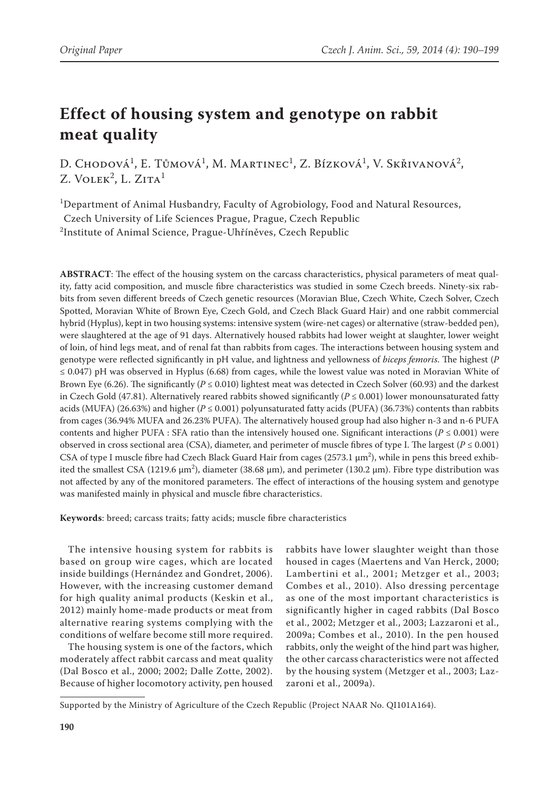# **Effect of housing system and genotype on rabbit meat quality**

D. Chodová<sup>1</sup>, E. Tůmová<sup>1</sup>, M. Martinec<sup>1</sup>, Z. Bízková<sup>1</sup>, V. Skřivanová<sup>2</sup>,  $Z.$  Volek<sup>2</sup>, L. Zita<sup>1</sup>

1 Department of Animal Husbandry, Faculty of Agrobiology, Food and Natural Resources,

Czech University of Life Sciences Prague, Prague, Czech Republic

2 Institute of Animal Science, Prague-Uhříněves, Czech Republic

**ABSTRACT**: The effect of the housing system on the carcass characteristics, physical parameters of meat quality, fatty acid composition, and muscle fibre characteristics was studied in some Czech breeds. Ninety-six rabbits from seven different breeds of Czech genetic resources (Moravian Blue, Czech White, Czech Solver, Czech Spotted, Moravian White of Brown Eye, Czech Gold, and Czech Black Guard Hair) and one rabbit commercial hybrid (Hyplus), kept in two housing systems: intensive system (wire-net cages) or alternative (straw-bedded pen), were slaughtered at the age of 91 days. Alternatively housed rabbits had lower weight at slaughter, lower weight of loin, of hind legs meat, and of renal fat than rabbits from cages. The interactions between housing system and genotype were reflected significantly in pH value, and lightness and yellowness of *biceps femoris*. The highest (*P* ≤ 0.047) pH was observed in Hyplus (6.68) from cages, while the lowest value was noted in Moravian White of Brown Eye (6.26). The significantly ( $P \le 0.010$ ) lightest meat was detected in Czech Solver (60.93) and the darkest in Czech Gold (47.81). Alternatively reared rabbits showed significantly ( $P \le 0.001$ ) lower monounsaturated fatty acids (MUFA) (26.63%) and higher ( $P \le 0.001$ ) polyunsaturated fatty acids (PUFA) (36.73%) contents than rabbits from cages (36.94% MUFA and 26.23% PUFA). The alternatively housed group had also higher n-3 and n-6 PUFA contents and higher PUFA : SFA ratio than the intensively housed one. Significant interactions ( $P \le 0.001$ ) were observed in cross sectional area (CSA), diameter, and perimeter of muscle fibres of type I. The largest ( $P \le 0.001$ ) CSA of type I muscle fibre had Czech Black Guard Hair from cages  $(2573.1 \,\mu m^2)$ , while in pens this breed exhibited the smallest CSA (1219.6  $\mu$ m<sup>2</sup>), diameter (38.68  $\mu$ m), and perimeter (130.2  $\mu$ m). Fibre type distribution was not affected by any of the monitored parameters. The effect of interactions of the housing system and genotype was manifested mainly in physical and muscle fibre characteristics.

**Keywords**: breed; carcass traits; fatty acids; muscle fibre characteristics

The intensive housing system for rabbits is based on group wire cages, which are located inside buildings (Hernández and Gondret, 2006). However, with the increasing customer demand for high quality animal products (Keskin et al., 2012) mainly home-made products or meat from alternative rearing systems complying with the conditions of welfare become still more required.

The housing system is one of the factors, which moderately affect rabbit carcass and meat quality (Dal Bosco et al., 2000; 2002; Dalle Zotte, 2002). Because of higher locomotory activity, pen housed

rabbits have lower slaughter weight than those housed in cages (Maertens and Van Herck, 2000; Lambertini et al., 2001; Metzger et al., 2003; Combes et al., 2010). Also dressing percentage as one of the most important characteristics is significantly higher in caged rabbits (Dal Bosco et al., 2002; Metzger et al., 2003; Lazzaroni et al., 2009a; Combes et al., 2010). In the pen housed rabbits, only the weight of the hind part was higher, the other carcass characteristics were not affected by the housing system (Metzger et al., 2003; Lazzaroni et al., 2009a).

Supported by the Ministry of Agriculture of the Czech Republic (Project NAAR No. QI101A164).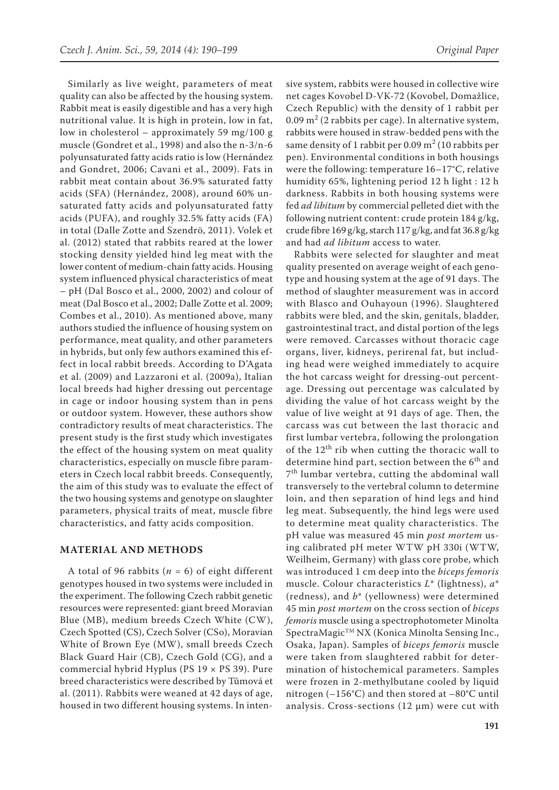Similarly as live weight, parameters of meat quality can also be affected by the housing system. Rabbit meat is easily digestible and has a very high nutritional value. It is high in protein, low in fat, low in cholesterol – approximately 59 mg/100 g muscle (Gondret et al., 1998) and also the n-3/n-6 polyunsaturated fatty acids ratio is low (Hernández and Gondret, 2006; Cavani et al., 2009). Fats in rabbit meat contain about 36.9% saturated fatty acids (SFA) (Hernández, 2008), around 60% unsaturated fatty acids and polyunsaturated fatty acids (PUFA), and roughly 32.5% fatty acids (FA) in total (Dalle Zotte and Szendrö, 2011). Volek et al. (2012) stated that rabbits reared at the lower stocking density yielded hind leg meat with the lower content of medium-chain fatty acids. Housing system influenced physical characteristics of meat – pH (Dal Bosco et al., 2000, 2002) and colour of meat (Dal Bosco et al., 2002; Dalle Zotte et al. 2009; Combes et al., 2010). As mentioned above, many authors studied the influence of housing system on performance, meat quality, and other parameters in hybrids, but only few authors examined this effect in local rabbit breeds. According to D'Agata et al. (2009) and Lazzaroni et al. (2009a), Italian local breeds had higher dressing out percentage in cage or indoor housing system than in pens or outdoor system. However, these authors show contradictory results of meat characteristics. The present study is the first study which investigates the effect of the housing system on meat quality characteristics, especially on muscle fibre parameters in Czech local rabbit breeds. Consequently, the aim of this study was to evaluate the effect of the two housing systems and genotype on slaughter parameters, physical traits of meat, muscle fibre characteristics, and fatty acids composition.

#### **MATERIAL AND METHODS**

A total of 96 rabbits ( $n = 6$ ) of eight different genotypes housed in two systems were included in the experiment. The following Czech rabbit genetic resources were represented: giant breed Moravian Blue (MB), medium breeds Czech White (CW), Czech Spotted (CS), Czech Solver (CSo), Moravian White of Brown Eye (MW), small breeds Czech Black Guard Hair (CB), Czech Gold (CG), and a commercial hybrid Hyplus (PS 19 × PS 39). Pure breed characteristics were described by Tůmová et al. (2011). Rabbits were weaned at 42 days of age, housed in two different housing systems. In intensive system, rabbits were housed in collective wire net cages Kovobel D-VK-72 (Kovobel, Domažlice, Czech Republic) with the density of 1 rabbit per 0.09  $\mathrm{m}^2$  (2 rabbits per cage). In alternative system, rabbits were housed in straw-bedded pens with the same density of 1 rabbit per 0.09  $m^2$  (10 rabbits per pen). Environmental conditions in both housings were the following: temperature 16–17°C, relative humidity 65%, lightening period 12 h light : 12 h darkness. Rabbits in both housing systems were fed *ad libitum* by commercial pelleted diet with the following nutrient content: crude protein 184 g/kg, crude fibre 169 g/kg, starch 117 g/kg, and fat 36.8 g/kg and had *ad libitum* access to water.

Rabbits were selected for slaughter and meat quality presented on average weight of each genotype and housing system at the age of 91 days. The method of slaughter measurement was in accord with Blasco and Ouhayoun (1996). Slaughtered rabbits were bled, and the skin, genitals, bladder, gastrointestinal tract, and distal portion of the legs were removed. Carcasses without thoracic cage organs, liver, kidneys, perirenal fat, but including head were weighed immediately to acquire the hot carcass weight for dressing-out percentage. Dressing out percentage was calculated by dividing the value of hot carcass weight by the value of live weight at 91 days of age. Then, the carcass was cut between the last thoracic and first lumbar vertebra, following the prolongation of the  $12<sup>th</sup>$  rib when cutting the thoracic wall to determine hind part, section between the  $6<sup>th</sup>$  and 7th lumbar vertebra, cutting the abdominal wall transversely to the vertebral column to determine loin, and then separation of hind legs and hind leg meat. Subsequently, the hind legs were used to determine meat quality characteristics. The pH value was measured 45 min *post mortem* using calibrated pH meter WTW pH 330i (WTW, Weilheim, Germany) with glass core probe, which was introduced 1 cm deep into the *biceps femoris*  muscle. Colour characteristics *L*\* (lightness), *a*\* (redness), and *b*\* (yellowness) were determined 45 min *post mortem* on the cross section of *biceps femoris* muscle using a spectrophotometer Minolta SpectraMagic<sup>™</sup> NX (Konica Minolta Sensing Inc., Osaka, Japan). Samples of *biceps femoris* muscle were taken from slaughtered rabbit for determination of histochemical parameters. Samples were frozen in 2-methylbutane cooled by liquid nitrogen (–156°C) and then stored at –80°C until analysis. Cross-sections (12 μm) were cut with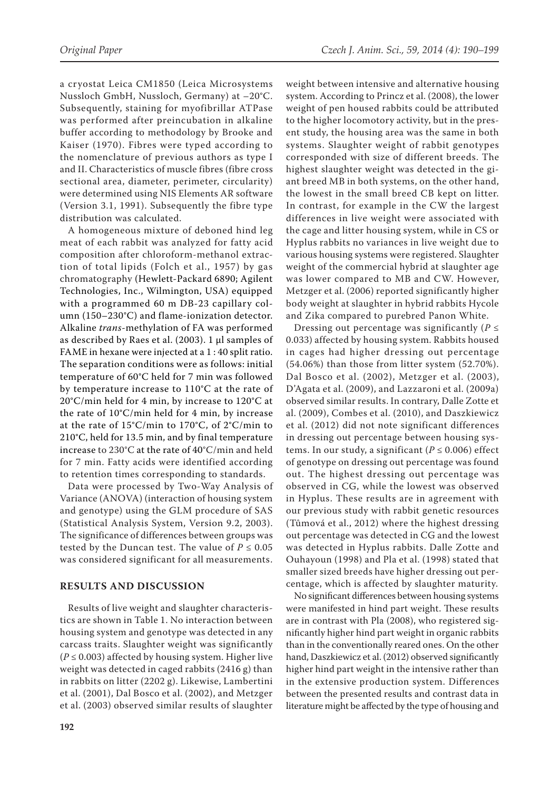a cryostat Leica CM1850 (Leica Microsystems Nussloch GmbH, Nussloch, Germany) at –20°C. Subsequently, staining for myofibrillar ATPase was performed after preincubation in alkaline buffer according to methodology by Brooke and Kaiser (1970). Fibres were typed according to the nomenclature of previous authors as type I and II. Characteristics of muscle fibres (fibre cross sectional area, diameter, perimeter, circularity) were determined using NIS Elements AR software (Version 3.1, 1991). Subsequently the fibre type distribution was calculated.

A homogeneous mixture of deboned hind leg meat of each rabbit was analyzed for fatty acid composition after chloroform-methanol extraction of total lipids (Folch et al., 1957) by gas chromatography (Hewlett-Packard 6890; Agilent Technologies, Inc., Wilmington, USA) equipped with a programmed 60 m DB-23 capillary column (150–230°C) and flame-ionization detector. Alkaline *trans-*methylation of FA was performed as described by Raes et al. (2003). 1 μl samples of FAME in hexane were injected at a 1 : 40 split ratio. The separation conditions were as follows: initial temperature of 60°C held for 7 min was followed by temperature increase to 110°C at the rate of 20°C/min held for 4 min, by increase to 120°C at the rate of 10°C/min held for 4 min, by increase at the rate of 15°C/min to 170°C, of 2°C/min to 210°C, held for 13.5 min, and by final temperature increase to 230°C at the rate of 40°C/min and held for 7 min. Fatty acids were identified according to retention times corresponding to standards.

Data were processed by Two-Way Analysis of Variance (ANOVA) (interaction of housing system and genotype) using the GLM procedure of SAS (Statistical Analysis System, Version 9.2, 2003). The significance of differences between groups was tested by the Duncan test. The value of  $P \leq 0.05$ was considered significant for all measurements.

### **RESULTS AND DISCUSSION**

Results of live weight and slaughter characteristics are shown in Table 1. No interaction between housing system and genotype was detected in any carcass traits. Slaughter weight was significantly  $(P \le 0.003)$  affected by housing system. Higher live weight was detected in caged rabbits (2416 g) than in rabbits on litter (2202 g). Likewise, Lambertini et al. (2001), Dal Bosco et al. (2002), and Metzger et al. (2003) observed similar results of slaughter

weight between intensive and alternative housing system. According to Princz et al. (2008), the lower weight of pen housed rabbits could be attributed to the higher locomotory activity, but in the present study, the housing area was the same in both systems. Slaughter weight of rabbit genotypes corresponded with size of different breeds. The highest slaughter weight was detected in the giant breed MB in both systems, on the other hand, the lowest in the small breed CB kept on litter. In contrast, for example in the CW the largest differences in live weight were associated with the cage and litter housing system, while in CS or Hyplus rabbits no variances in live weight due to various housing systems were registered. Slaughter weight of the commercial hybrid at slaughter age was lower compared to MB and CW. However, Metzger et al. (2006) reported significantly higher body weight at slaughter in hybrid rabbits Hycole and Zika compared to purebred Panon White.

Dressing out percentage was significantly ( $P \leq$ 0.033) affected by housing system. Rabbits housed in cages had higher dressing out percentage (54.06%) than those from litter system (52.70%). Dal Bosco et al. (2002), Metzger et al. (2003), D'Agata et al. (2009), and Lazzaroni et al. (2009a) observed similar results. In contrary, Dalle Zotte et al. (2009), Combes et al. (2010), and Daszkiewicz et al. (2012) did not note significant differences in dressing out percentage between housing systems. In our study, a significant ( $P \le 0.006$ ) effect of genotype on dressing out percentage was found out. The highest dressing out percentage was observed in CG, while the lowest was observed in Hyplus. These results are in agreement with our previous study with rabbit genetic resources (Tůmová et al., 2012) where the highest dressing out percentage was detected in CG and the lowest was detected in Hyplus rabbits. Dalle Zotte and Ouhayoun (1998) and Pla et al. (1998) stated that smaller sized breeds have higher dressing out percentage, which is affected by slaughter maturity.

No significant differences between housing systems were manifested in hind part weight. These results are in contrast with Pla (2008), who registered significantly higher hind part weight in organic rabbits than in the conventionally reared ones. On the other hand, Daszkiewicz et al. (2012) observed significantly higher hind part weight in the intensive rather than in the extensive production system. Differences between the presented results and contrast data in literature might be affected by the type of housing and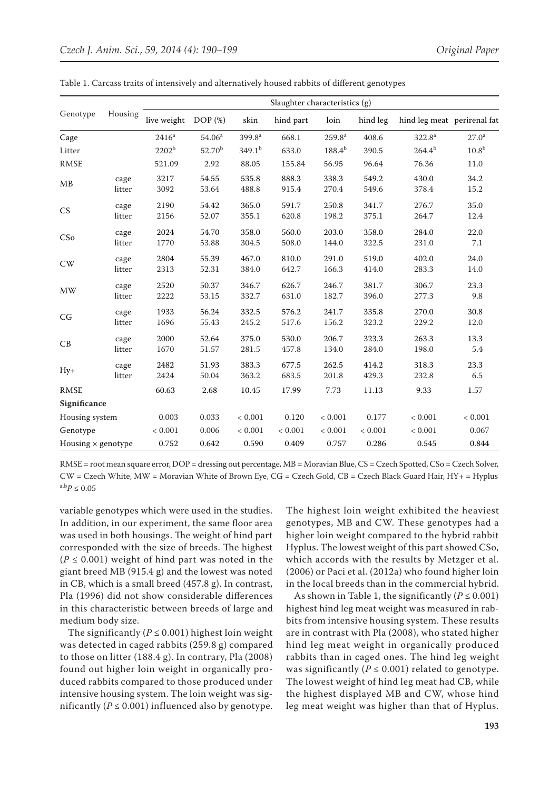|                           |                |                   |                    |                    | Slaughter characteristics (g) |                    |                |                             |                   |
|---------------------------|----------------|-------------------|--------------------|--------------------|-------------------------------|--------------------|----------------|-----------------------------|-------------------|
| Genotype                  | Housing        | live weight       | DOP(%)             | skin               | hind part                     | loin               | hind leg       | hind leg meat perirenal fat |                   |
| Cage                      |                | 2416 <sup>a</sup> | 54.06 <sup>a</sup> | 399.8 <sup>a</sup> | 668.1                         | 259.8 <sup>a</sup> | 408.6          | $322.8^a$                   | 27.0 <sup>a</sup> |
| Litter                    |                | $2202^b$          | 52.70 <sup>b</sup> | 349.1 <sup>b</sup> | 633.0                         | $188.4^{b}$        | 390.5          | $264.4^{b}$                 | 10.8 <sup>b</sup> |
| <b>RMSE</b>               |                | 521.09            | 2.92               | 88.05              | 155.84                        | 56.95              | 96.64          | 76.36                       | 11.0              |
| MB                        | cage<br>litter | 3217<br>3092      | 54.55<br>53.64     | 535.8<br>488.8     | 888.3<br>915.4                | 338.3<br>270.4     | 549.2<br>549.6 | 430.0<br>378.4              | 34.2<br>15.2      |
| CS                        | cage<br>litter | 2190<br>2156      | 54.42<br>52.07     | 365.0<br>355.1     | 591.7<br>620.8                | 250.8<br>198.2     | 341.7<br>375.1 | 276.7<br>264.7              | 35.0<br>12.4      |
| CSo                       | cage<br>litter | 2024<br>1770      | 54.70<br>53.88     | 358.0<br>304.5     | 560.0<br>508.0                | 203.0<br>144.0     | 358.0<br>322.5 | 284.0<br>231.0              | 22.0<br>7.1       |
| CW                        | cage<br>litter | 2804<br>2313      | 55.39<br>52.31     | 467.0<br>384.0     | 810.0<br>642.7                | 291.0<br>166.3     | 519.0<br>414.0 | 402.0<br>283.3              | 24.0<br>14.0      |
| MW                        | cage<br>litter | 2520<br>2222      | 50.37<br>53.15     | 346.7<br>332.7     | 626.7<br>631.0                | 246.7<br>182.7     | 381.7<br>396.0 | 306.7<br>277.3              | 23.3<br>9.8       |
| CG                        | cage<br>litter | 1933<br>1696      | 56.24<br>55.43     | 332.5<br>245.2     | 576.2<br>517.6                | 241.7<br>156.2     | 335.8<br>323.2 | 270.0<br>229.2              | 30.8<br>12.0      |
| CB                        | cage<br>litter | 2000<br>1670      | 52.64<br>51.57     | 375.0<br>281.5     | 530.0<br>457.8                | 206.7<br>134.0     | 323.3<br>284.0 | 263.3<br>198.0              | 13.3<br>5.4       |
| $Hy+$                     | cage<br>litter | 2482<br>2424      | 51.93<br>50.04     | 383.3<br>363.2     | 677.5<br>683.5                | 262.5<br>201.8     | 414.2<br>429.3 | 318.3<br>232.8              | 23.3<br>6.5       |
| <b>RMSE</b>               |                | 60.63             | 2.68               | 10.45              | 17.99                         | 7.73               | 11.13          | 9.33                        | 1.57              |
| Significance              |                |                   |                    |                    |                               |                    |                |                             |                   |
| Housing system            |                | 0.003             | 0.033              | < 0.001            | 0.120                         | < 0.001            | 0.177          | < 0.001                     | < 0.001           |
| Genotype                  |                | < 0.001           | 0.006              | < 0.001            | < 0.001                       | < 0.001            | < 0.001        | < 0.001                     | 0.067             |
| Housing $\times$ genotype |                | 0.752             | 0.642              | 0.590              | 0.409                         | 0.757              | 0.286          | 0.545                       | 0.844             |

Table 1. Carcass traits of intensively and alternatively housed rabbits of different genotypes

RMSE = root mean square error, DOP = dressing out percentage, MB = Moravian Blue, CS = Czech Spotted, CSo = Czech Solver, CW = Czech White, MW = Moravian White of Brown Eye, CG = Czech Gold, CB = Czech Black Guard Hair, HY+ = Hyplus  $a,bp \leq 0.05$ 

variable genotypes which were used in the studies. In addition, in our experiment, the same floor area was used in both housings. The weight of hind part corresponded with the size of breeds. The highest  $(P \le 0.001)$  weight of hind part was noted in the giant breed MB (915.4 g) and the lowest was noted in CB, which is a small breed (457.8 g). In contrast, Pla (1996) did not show considerable differences in this characteristic between breeds of large and medium body size.

The significantly ( $P \le 0.001$ ) highest loin weight was detected in caged rabbits (259.8 g) compared to those on litter (188.4 g). In contrary, Pla (2008) found out higher loin weight in organically produced rabbits compared to those produced under intensive housing system. The loin weight was significantly ( $P \le 0.001$ ) influenced also by genotype.

The highest loin weight exhibited the heaviest genotypes, MB and CW. These genotypes had a higher loin weight compared to the hybrid rabbit Hyplus. The lowest weight of this part showed CSo, which accords with the results by Metzger et al. (2006) or Paci et al. (2012a) who found higher loin in the local breeds than in the commercial hybrid.

As shown in Table 1, the significantly  $(P \le 0.001)$ highest hind leg meat weight was measured in rabbits from intensive housing system. These results are in contrast with Pla (2008), who stated higher hind leg meat weight in organically produced rabbits than in caged ones. The hind leg weight was significantly ( $P \leq 0.001$ ) related to genotype. The lowest weight of hind leg meat had CB, while the highest displayed MB and CW, whose hind leg meat weight was higher than that of Hyplus.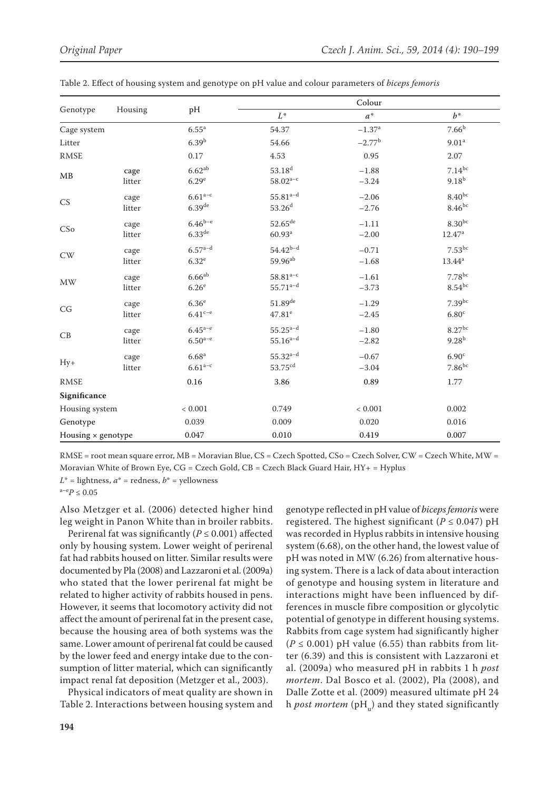|                        |                |                                      |                                           | Colour               |                                  |
|------------------------|----------------|--------------------------------------|-------------------------------------------|----------------------|----------------------------------|
| Genotype               | Housing        | pH                                   | $L^{\ast}$                                | $a^*$                | $h^*$                            |
| Cage system            |                | 6.55 <sup>a</sup>                    | 54.37                                     | $-1.37$ <sup>a</sup> | 7.66 <sup>b</sup>                |
| Litter                 |                | 6.39 <sup>b</sup>                    | 54.66                                     | $-2.77^{\rm b}$      | 9.01 <sup>a</sup>                |
| <b>RMSE</b>            |                | 0.17                                 | 4.53                                      | 0.95                 | 2.07                             |
| MB                     | cage<br>litter | $6.62^{ab}$<br>6.29 <sup>e</sup>     | $53.18^{d}$<br>$58.02^{a-c}$              | $-1.88$<br>$-3.24$   | $7.14^{bc}$<br>$9.18^{b}$        |
| $\mathbb{C}\mathbf{S}$ | cage<br>litter | $6.61^{a-c}$<br>$6.39$ <sup>de</sup> | $55.81^{a-d}$<br>$53.26^{d}$              | $-2.06$<br>$-2.76$   | $8.40^{bc}$<br>$8.46^{bc}$       |
| CSo                    | cage<br>litter | $6.46^{b-e}$<br>$6.33$ <sup>de</sup> | $52.65^{\text{de}}$<br>60.93 <sup>a</sup> | $-1.11$<br>$-2.00$   | $8.30^{bc}$<br>$12.47^{\rm a}$   |
| ${\rm\bf CW}$          | cage<br>litter | $6.57^{a-d}$<br>6.32 <sup>e</sup>    | $54.42^{b-d}$<br>$59.96^{ab}$             | $-0.71$<br>$-1.68$   | $7.53^{bc}$<br>$13.44^{\rm a}$   |
| MW                     | cage<br>litter | $6.66^{ab}$<br>6.26 <sup>e</sup>     | $58.81^{a-c}$<br>$55.71^{a-d}$            | $-1.61$<br>$-3.73$   | $7.78^{bc}$<br>$8.54^{bc}$       |
| $\mathbb{C}\mathbb{G}$ | cage<br>litter | 6.36 <sup>e</sup><br>$6.41^{c-e}$    | $51.89$ <sup>de</sup><br>$47.81^e$        | $-1.29$<br>$-2.45$   | $7.39^{bc}$<br>6.80 <sup>c</sup> |
| CB                     | cage<br>litter | $6.45^{a-e}$<br>$6.50^{a-e}$         | $55.25^{a-d}$<br>$55.16^{a-d}$            | $-1.80$<br>$-2.82$   | $8.27$ bc<br>$9.28^{b}$          |
| $Hy+$                  | cage<br>litter | 6.68 <sup>a</sup><br>$6.61^{a-c}$    | $55.32^{a-d}$<br>53.75 <sup>cd</sup>      | $-0.67$<br>$-3.04$   | 6.90 <sup>c</sup><br>$7.86^{bc}$ |
| <b>RMSE</b>            |                | 0.16                                 | 3.86                                      | 0.89                 | 1.77                             |
| Significance           |                |                                      |                                           |                      |                                  |
| Housing system         |                | < 0.001                              | 0.749                                     | < 0.001              | 0.002                            |
| Genotype               |                | 0.039                                | 0.009                                     | 0.020                | 0.016                            |
| Housing × genotype     |                | 0.047                                | 0.010                                     | 0.419                | 0.007                            |

Table 2. Effect of housing system and genotype on pH value and colour parameters of *biceps femoris*

RMSE = root mean square error, MB = Moravian Blue, CS = Czech Spotted, CSo = Czech Solver, CW = Czech White, MW = Moravian White of Brown Eye,  $CG = Czech Gold, CB = Czech Black Guard Hair, HY + = Hyplus$ 

 $L^*$  = lightness,  $a^*$  = redness,  $b^*$  = yellowness

 $a-e$ *P*  $\leq$  0.05

Also Metzger et al. (2006) detected higher hind leg weight in Panon White than in broiler rabbits.

Perirenal fat was significantly ( $P \le 0.001$ ) affected only by housing system. Lower weight of perirenal fat had rabbits housed on litter. Similar results were documented by Pla (2008) and Lazzaroni et al. (2009a) who stated that the lower perirenal fat might be related to higher activity of rabbits housed in pens. However, it seems that locomotory activity did not affect the amount of perirenal fat in the present case, because the housing area of both systems was the same. Lower amount of perirenal fat could be caused by the lower feed and energy intake due to the consumption of litter material, which can significantly impact renal fat deposition (Metzger et al., 2003).

Physical indicators of meat quality are shown in Table 2. Interactions between housing system and

genotype reflected in pH value of *biceps femoris* were registered. The highest significant ( $P \le 0.047$ ) pH was recorded in Hyplus rabbits in intensive housing system (6.68), on the other hand, the lowest value of pH was noted in MW (6.26) from alternative housing system. There is a lack of data about interaction of genotype and housing system in literature and interactions might have been influenced by differences in muscle fibre composition or glycolytic potential of genotype in different housing systems. Rabbits from cage system had significantly higher  $(P \le 0.001)$  pH value (6.55) than rabbits from litter (6.39) and this is consistent with Lazzaroni et al. (2009a) who measured pH in rabbits 1 h *post mortem*. Dal Bosco et al. (2002), Pla (2008), and Dalle Zotte et al. (2009) measured ultimate pH 24 h *post mortem* (pH<sub>u</sub>) and they stated significantly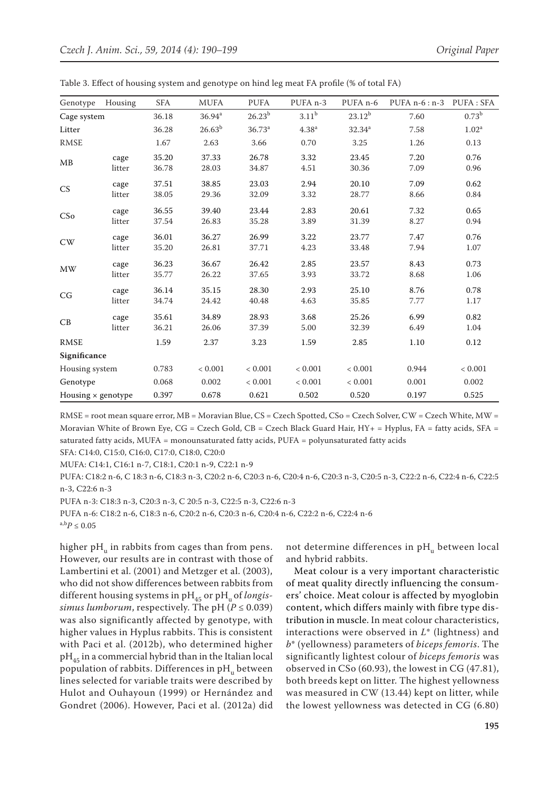| Genotype               | Housing        | <b>SFA</b>     | <b>MUFA</b>        | <b>PUFA</b>        | PUFA <sub>n-3</sub> | PUFA n-6           | PUFA $n-6:n-3$ | PUFA : SFA        |
|------------------------|----------------|----------------|--------------------|--------------------|---------------------|--------------------|----------------|-------------------|
| Cage system            |                | 36.18          | 36.94 <sup>a</sup> | $26.23^{b}$        | 3.11 <sup>b</sup>   | $23.12^{b}$        | 7.60           | $0.73^{\rm b}$    |
| Litter                 |                | 36.28          | $26.63^{b}$        | 36.73 <sup>a</sup> | 4.38 <sup>a</sup>   | 32.34 <sup>a</sup> | 7.58           | 1.02 <sup>a</sup> |
| <b>RMSE</b>            |                | 1.67           | 2.63               | 3.66               | 0.70                | 3.25               | 1.26           | 0.13              |
| MB                     | cage<br>litter | 35.20<br>36.78 | 37.33<br>28.03     | 26.78<br>34.87     | 3.32<br>4.51        | 23.45<br>30.36     | 7.20<br>7.09   | 0.76<br>0.96      |
| $\mathbb{C}\mathbf{S}$ | cage<br>litter | 37.51<br>38.05 | 38.85<br>29.36     | 23.03<br>32.09     | 2.94<br>3.32        | 20.10<br>28.77     | 7.09<br>8.66   | 0.62<br>0.84      |
| CSo                    | cage<br>litter | 36.55<br>37.54 | 39.40<br>26.83     | 23.44<br>35.28     | 2.83<br>3.89        | 20.61<br>31.39     | 7.32<br>8.27   | 0.65<br>0.94      |
| $\mathrm{CW}$          | cage<br>litter | 36.01<br>35.20 | 36.27<br>26.81     | 26.99<br>37.71     | 3.22<br>4.23        | 23.77<br>33.48     | 7.47<br>7.94   | 0.76<br>1.07      |
| <b>MW</b>              | cage<br>litter | 36.23<br>35.77 | 36.67<br>26.22     | 26.42<br>37.65     | 2.85<br>3.93        | 23.57<br>33.72     | 8.43<br>8.68   | 0.73<br>1.06      |
| CG                     | cage<br>litter | 36.14<br>34.74 | 35.15<br>24.42     | 28.30<br>40.48     | 2.93<br>4.63        | 25.10<br>35.85     | 8.76<br>7.77   | 0.78<br>1.17      |
| CB                     | cage<br>litter | 35.61<br>36.21 | 34.89<br>26.06     | 28.93<br>37.39     | 3.68<br>5.00        | 25.26<br>32.39     | 6.99<br>6.49   | 0.82<br>1.04      |
| <b>RMSE</b>            |                | 1.59           | 2.37               | 3.23               | 1.59                | 2.85               | 1.10           | 0.12              |
| Significance           |                |                |                    |                    |                     |                    |                |                   |
| Housing system         |                | 0.783          | < 0.001            | < 0.001            | < 0.001             | < 0.001            | 0.944          | < 0.001           |
| Genotype               |                | 0.068          | 0.002              | < 0.001            | < 0.001             | < 0.001            | 0.001          | 0.002             |
| Housing × genotype     |                | 0.397          | 0.678              | 0.621              | 0.502               | 0.520              | 0.197          | 0.525             |

|  |  |  |  |  | Table 3. Effect of housing system and genotype on hind leg meat FA profile (% of total FA) |  |
|--|--|--|--|--|--------------------------------------------------------------------------------------------|--|
|--|--|--|--|--|--------------------------------------------------------------------------------------------|--|

RMSE = root mean square error, MB = Moravian Blue, CS = Czech Spotted, CSo = Czech Solver, CW = Czech White, MW = Moravian White of Brown Eye, CG = Czech Gold, CB = Czech Black Guard Hair, HY+ = Hyplus, FA = fatty acids, SFA = saturated fatty acids, MUFA = monounsaturated fatty acids, PUFA = polyunsaturated fatty acids

SFA: C14:0, C15:0, C16:0, C17:0, C18:0, C20:0

MUFA: C14:1, C16:1 n-7, C18:1, C20:1 n-9, C22:1 n-9

PUFA: C18:2 n-6, C 18:3 n-6, C18:3 n-3, C20:2 n-6, C20:3 n-6, C20:4 n-6, C20:3 n-3, C20:5 n-3, C22:2 n-6, C22:4 n-6, C22:5 n-3, C22:6 n-3

PUFA n-3: C18:3 n-3, C20:3 n-3, C 20:5 n-3, C22:5 n-3, C22:6 n-3

PUFA n-6: C18:2 n-6, C18:3 n-6, C20:2 n-6, C20:3 n-6, C20:4 n-6, C22:2 n-6, C22:4 n-6

 $a,b$ *P*  $\leq$  0.05

higher  $pH_{\text{u}}$  in rabbits from cages than from pens. However, our results are in contrast with those of Lambertini et al. (2001) and Metzger et al. (2003), who did not show differences between rabbits from different housing systems in pH<sub>45</sub> or pH<sub>u</sub> of *longissimus lumborum*, respectively. The pH ( $P \le 0.039$ ) was also significantly affected by genotype, with higher values in Hyplus rabbits. This is consistent with Paci et al. (2012b), who determined higher  $pH_{45}$  in a commercial hybrid than in the Italian local population of rabbits. Differences in  $pH<sub>u</sub>$  between lines selected for variable traits were described by Hulot and Ouhayoun (1999) or Hernández and Gondret (2006). However, Paci et al. (2012a) did

not determine differences in pH<sub>u</sub> between local and hybrid rabbits.

Meat colour is a very important characteristic of meat quality directly influencing the consumers' choice. Meat colour is affected by myoglobin content, which differs mainly with fibre type distribution in muscle. In meat colour characteristics, interactions were observed in *L*\* (lightness) and *b*\* (yellowness) parameters of *biceps femoris*. The significantly lightest colour of *biceps femoris* was observed in CSo (60.93), the lowest in CG (47.81), both breeds kept on litter. The highest yellowness was measured in CW (13.44) kept on litter, while the lowest yellowness was detected in CG (6.80)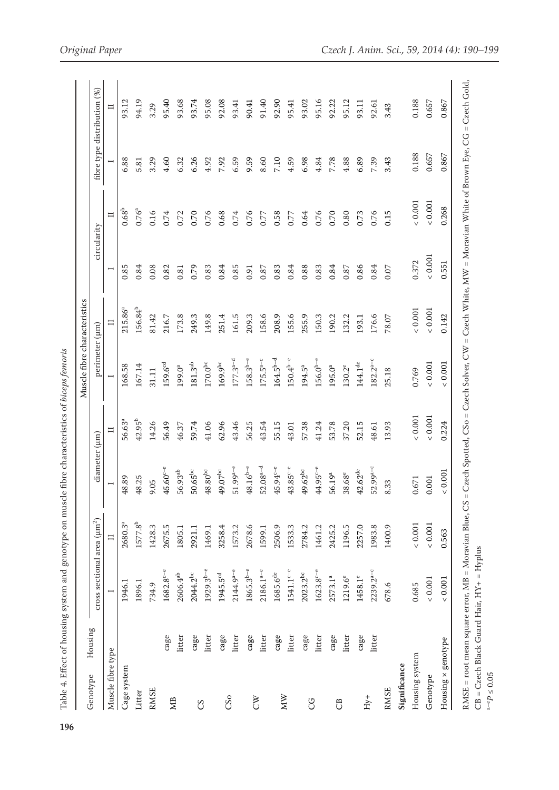|               | きりじこと せんこう                                                    |
|---------------|---------------------------------------------------------------|
|               |                                                               |
|               |                                                               |
|               |                                                               |
|               |                                                               |
|               |                                                               |
|               |                                                               |
|               |                                                               |
|               |                                                               |
|               |                                                               |
|               |                                                               |
|               |                                                               |
|               |                                                               |
|               |                                                               |
|               |                                                               |
|               |                                                               |
|               |                                                               |
|               |                                                               |
|               | l                                                             |
|               |                                                               |
|               |                                                               |
|               |                                                               |
|               |                                                               |
|               |                                                               |
|               |                                                               |
|               |                                                               |
|               |                                                               |
|               |                                                               |
|               |                                                               |
|               | ١                                                             |
|               |                                                               |
|               |                                                               |
|               |                                                               |
|               |                                                               |
|               |                                                               |
|               | theat of housing system and genotyne on muscale fibre charact |
|               |                                                               |
| ١             |                                                               |
| l             |                                                               |
|               |                                                               |
| $\frac{1}{2}$ |                                                               |
|               |                                                               |
|               |                                                               |

|                    |         |                                  |              |                        |             | Muscle fibre characteristics |                     |                |            |       |                             |
|--------------------|---------|----------------------------------|--------------|------------------------|-------------|------------------------------|---------------------|----------------|------------|-------|-----------------------------|
| Genotype           | Housing | cross sectional area $(\mu m^2)$ |              | diameter (µm)          |             | perimeter (µm)               |                     | circularity    |            |       | fibre type distribution (%) |
| Muscle fibre type  |         |                                  | $\Box$       | $\overline{ }$         | $\Box$      | $\overline{\phantom{0}}$     | $\Box$              | $\overline{ }$ | $\Box$     |       | $\equiv$                    |
| Cage system        |         | 1946.1                           | 2680.3ª      | 48.89                  | 56.63ª      | 168.58                       | 215.86 <sup>a</sup> | 0.85           | $0.68^{b}$ | 6.88  | 93.12                       |
| Litter             |         | 1896.1                           | $1577.8^{b}$ | 48.25                  | $42.95^{b}$ | 167.14                       | 156.84 <sup>b</sup> | 0.84           | $0.76^{a}$ | 5.81  | 94.19                       |
| <b>RMSE</b>        |         | 734.9                            | 1428.3       | 9.05                   | 14.26       | 31.11                        | 81.42               | 0.08           | 0.16       | 3.29  | 3.29                        |
|                    | cage    | $1682.8^{c-e}$                   | 2675.5       | $45.60^{c-e}$          | 56.49       | $159.6^{\rm cd}$             | 216.7               | 0.82           | 0.74       | 4.60  | 95.40                       |
| МB                 | litter  | $2606.4^{\rm ab}$                | 1805.1       | $56.93\mathrm{^{ab}}$  | 46.37       | 199.0 <sup>a</sup>           | 173.8               | 0.81           | 0.72       | 6.32  | 93.68                       |
|                    | cage    | 2044.2bc                         | 2921.1       | $50.65^{bc}$           | 59.74       | $181.3^{\rm ab}$             | 249.3               | 0.79           | 0.70       | 6.26  | 93.74                       |
| S                  | litter  | $1929.3^{b-e}$                   | 1469.1       | $48.80^{\rm bc}$       | 41.06       | $170.0^{\rm bc}$             | 149.8               | 0.83           | 0.76       | 4.92  | 95.08                       |
| CSo                | cage    | 1945.5 <sup>cd</sup>             | 3258.4       | $49.07^{\rm bc}$       | 62.96       | $169.9^{bc}$                 | 251.4               | 0.84           | 0.68       | 7.92  | 92.08                       |
|                    | litter  | $2144.9^{a-e}$                   | 1573.2       | $51.99^{a-e}$          | 43.46       | $177.3^{a-d}$                | 161.5               | 0.85           | 0.74       | 6.59  | 93.41                       |
| Š                  | cage    | $1865.3^{b-e}$                   | 2678.6       | $48.16^{\mathrm{b-e}}$ | 56.25       | $158.3^{\mathrm{b-e}}$       | 209.3               | 0.91           | 0.76       | 9.59  | 90.41                       |
|                    | litter  | $2186.1^{a-e}$                   | 1599.1       | $52.08^{a-d}$          | 43.54       | $175.5^{a-c}$                | 158.6               | 0.87           | 0.77       | 8.60  | 91.40                       |
|                    | cage    | 1685.6 <sup>de</sup>             | 2506.9       | $45.94c-e$             | 55.15       | $164.5^{\rm b-d}$            | 208.9               | 0.83           | 0.58       | 7.10  | 92.90                       |
| <b>NN</b>          | litter  | 1541.1 <sup>c-e</sup>            | 1533.3       | $43.85^{c-e}$          | 43.01       | $150.4^{b-e}$                | 155.6               | $\rm 0.84$     | 0.77       | 4.59  | 95.41                       |
| CG                 | cage    | $2023.2^{bc}$                    | 2784.2       | $49.62^{bc}$           | 57.38       | 194.5 <sup>a</sup>           | 255.9               | 0.88           | 0.64       | 6.98  | 93.02                       |
|                    | litter  | $1623.8^{\circ -e}$              | 1461.2       | $44.95^{c-e}$          | 41.24       | $156.0^{\rm b-e}$            | 150.3               | 0.83           | 0.76       | 4.84  | 95.16                       |
| G                  | cage    | 2573.1ª                          | 2425.2       | 56.19 <sup>a</sup>     | 53.78       | 195.0ª                       | 190.2               | 0.84           | 0.70       | 7.78  | 92.22                       |
|                    | litter  | 1219.6 <sup>e</sup>              | 1196.5       | $38.68^{\circ}$        | 37.20       | $130.2^e$                    | 132.2               | 0.87           | 0.80       | 4.88  | 95.12                       |
|                    | cage    | 1458.1°                          | 2257.0       | $42.62^{\rm de}$       | 52.15       | $144.1^{\rm de}$             | 193.1               | 0.86           | 0.73       | 6.89  | 93.11                       |
| $Hy+$              | litter  | $2239.2^{a-c}$                   | 1983.8       | $52.99^{a-c}$          | 48.61       | $182.2^{a-c}$                | 176.6               | 0.84           | 0.76       | 7.39  | 92.61                       |
| <b>RMSE</b>        |         | 678.6                            | 1400.9       | 33<br>$\infty$         | 13.93       | 25.18                        | 78.07               | 0.07           | 0.15       | 3.43  | 3.43                        |
| Significance       |         |                                  |              |                        |             |                              |                     |                |            |       |                             |
| Housing system     |         | 0.685                            | $< 0.001$    | 671<br>$\dot{\circ}$   | $< 0.001$   | 0.769                        | $< 0.001$           | 0.372          | $< 0.001$  | 0.188 | 0.188                       |
| Genotype           |         | $< 0.001$                        | $< 0.001$    | 0.001                  | $< 0.001$   | $< 0.001$                    | 0.001               | ${}_{< 0.001}$ | $< 0.001$  | 0.657 | 0.657                       |
| Housing × genotype |         | 0.001                            | 0.563        | 0.001<br>$\vee$        | 0.224       | $< 0.001$                    | 0.142               | 0.551          | 0.268      | 0.867 | 0.867                       |

**196**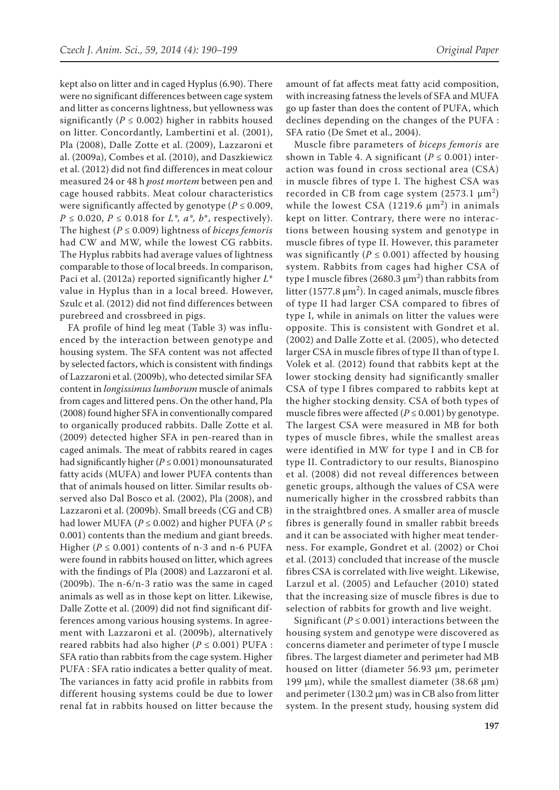kept also on litter and in caged Hyplus (6.90). There were no significant differences between cage system and litter as concerns lightness, but yellowness was significantly ( $P \le 0.002$ ) higher in rabbits housed on litter. Concordantly, Lambertini et al. (2001), Pla (2008), Dalle Zotte et al. (2009), Lazzaroni et al. (2009a), Combes et al. (2010), and Daszkiewicz et al. (2012) did not find differences in meat colour measured 24 or 48 h *post mortem* between pen and cage housed rabbits. Meat colour characteristics were significantly affected by genotype ( $P \le 0.009$ , *P* ≤ 0.020, *P* ≤ 0.018 for *L*<sup>\*</sup>,  $a$ <sup>\*</sup>,  $b$ <sup>\*</sup>, respectively). The highest (*P* ≤ 0.009) lightness of *biceps femoris* had CW and MW, while the lowest CG rabbits. The Hyplus rabbits had average values of lightness comparable to those of local breeds. In comparison, Paci et al. (2012a) reported significantly higher *L*\* value in Hyplus than in a local breed. However, Szulc et al. (2012) did not find differences between purebreed and crossbreed in pigs.

FA profile of hind leg meat (Table 3) was influenced by the interaction between genotype and housing system. The SFA content was not affected by selected factors, which is consistent with findings of Lazzaroni et al. (2009b), who detected similar SFA content in *longissimus lumborum* muscle of animals from cages and littered pens. On the other hand, Pla (2008) found higher SFA in conventionally compared to organically produced rabbits. Dalle Zotte et al. (2009) detected higher SFA in pen-reared than in caged animals. The meat of rabbits reared in cages had significantly higher ( $P \le 0.001$ ) monounsaturated fatty acids (MUFA) and lower PUFA contents than that of animals housed on litter. Similar results observed also Dal Bosco et al. (2002), Pla (2008), and Lazzaroni et al. (2009b). Small breeds (CG and CB) had lower MUFA ( $P \le 0.002$ ) and higher PUFA ( $P \le$ 0.001) contents than the medium and giant breeds. Higher ( $P \le 0.001$ ) contents of n-3 and n-6 PUFA were found in rabbits housed on litter, which agrees with the findings of Pla (2008) and Lazzaroni et al. (2009b). The n-6/n-3 ratio was the same in caged animals as well as in those kept on litter. Likewise, Dalle Zotte et al. (2009) did not find significant differences among various housing systems. In agreement with Lazzaroni et al. (2009b), alternatively reared rabbits had also higher ( $P \le 0.001$ ) PUFA : SFA ratio than rabbits from the cage system. Higher PUFA : SFA ratio indicates a better quality of meat. The variances in fatty acid profile in rabbits from different housing systems could be due to lower renal fat in rabbits housed on litter because the

amount of fat affects meat fatty acid composition, with increasing fatness the levels of SFA and MUFA go up faster than does the content of PUFA, which declines depending on the changes of the PUFA : SFA ratio (De Smet et al., 2004).

Muscle fibre parameters of *biceps femoris* are shown in Table 4. A significant  $(P \le 0.001)$  interaction was found in cross sectional area (CSA) in muscle fibres of type I. The highest CSA was recorded in CB from cage system  $(2573.1 \text{ }\mu\text{m}^2)$ while the lowest CSA  $(1219.6 \mu m^2)$  in animals kept on litter. Contrary, there were no interactions between housing system and genotype in muscle fibres of type II. However, this parameter was significantly ( $P \le 0.001$ ) affected by housing system. Rabbits from cages had higher CSA of type I muscle fibres (2680.3  $\mu$ m<sup>2</sup>) than rabbits from litter (1577.8  $\mu$ m<sup>2</sup>). In caged animals, muscle fibres of type II had larger CSA compared to fibres of type I, while in animals on litter the values were opposite. This is consistent with Gondret et al. (2002) and Dalle Zotte et al. (2005), who detected larger CSA in muscle fibres of type II than of type I. Volek et al. (2012) found that rabbits kept at the lower stocking density had significantly smaller CSA of type I fibres compared to rabbits kept at the higher stocking density. CSA of both types of muscle fibres were affected  $(P \le 0.001)$  by genotype. The largest CSA were measured in MB for both types of muscle fibres, while the smallest areas were identified in MW for type I and in CB for type II. Contradictory to our results, Bianospino et al. (2008) did not reveal differences between genetic groups, although the values of CSA were numerically higher in the crossbred rabbits than in the straightbred ones. A smaller area of muscle fibres is generally found in smaller rabbit breeds and it can be associated with higher meat tenderness. For example, Gondret et al. (2002) or Choi et al. (2013) concluded that increase of the muscle fibres CSA is correlated with live weight. Likewise, Larzul et al. (2005) and Lefaucher (2010) stated that the increasing size of muscle fibres is due to selection of rabbits for growth and live weight.

Significant ( $P \le 0.001$ ) interactions between the housing system and genotype were discovered as concerns diameter and perimeter of type I muscle fibres. The largest diameter and perimeter had MB housed on litter (diameter 56.93 μm, perimeter 199 μm), while the smallest diameter (38.68 μm) and perimeter  $(130.2 \,\mu\text{m})$  was in CB also from litter system. In the present study, housing system did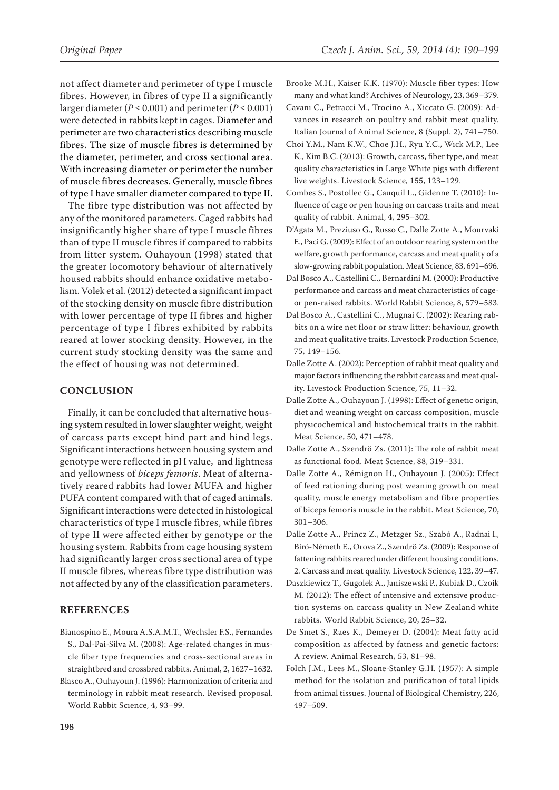not affect diameter and perimeter of type I muscle fibres. However, in fibres of type II a significantly larger diameter ( $P \le 0.001$ ) and perimeter ( $P \le 0.001$ ) were detected in rabbits kept in cages. Diameter and perimeter are two characteristics describing muscle fibres. The size of muscle fibres is determined by the diameter, perimeter, and cross sectional area. With increasing diameter or perimeter the number of muscle fibres decreases. Generally, muscle fibres of type I have smaller diameter compared to type II.

The fibre type distribution was not affected by any of the monitored parameters. Caged rabbits had insignificantly higher share of type I muscle fibres than of type II muscle fibres if compared to rabbits from litter system. Ouhayoun (1998) stated that the greater locomotory behaviour of alternatively housed rabbits should enhance oxidative metabolism. Volek et al. (2012) detected a significant impact of the stocking density on muscle fibre distribution with lower percentage of type II fibres and higher percentage of type I fibres exhibited by rabbits reared at lower stocking density. However, in the current study stocking density was the same and the effect of housing was not determined.

## **CONCLUSION**

Finally, it can be concluded that alternative housing system resulted in lower slaughter weight, weight of carcass parts except hind part and hind legs. Significant interactions between housing system and genotype were reflected in pH value, and lightness and yellowness of *biceps femoris*. Meat of alternatively reared rabbits had lower MUFA and higher PUFA content compared with that of caged animals. Significant interactions were detected in histological characteristics of type I muscle fibres, while fibres of type II were affected either by genotype or the housing system. Rabbits from cage housing system had significantly larger cross sectional area of type II muscle fibres, whereas fibre type distribution was not affected by any of the classification parameters.

### **REFERENCES**

- Bianospino E., Moura A.S.A.M.T., Wechsler F.S., Fernandes S., Dal-Pai-Silva M. (2008): Age-related changes in muscle fiber type frequencies and cross-sectional areas in straightbred and crossbred rabbits. Animal, 2, 1627–1632.
- Blasco A., Ouhayoun J. (1996): Harmonization of criteria and terminology in rabbit meat research. Revised proposal. World Rabbit Science, 4, 93–99.
- Brooke M.H., Kaiser K.K. (1970): Muscle fiber types: How many and what kind? Archives of Neurology, 23, 369–379.
- Cavani C., Petracci M., Trocino A., Xiccato G. (2009): Advances in research on poultry and rabbit meat quality. Italian Journal of Animal Science, 8 (Suppl. 2), 741–750.
- Choi Y.M., Nam K.W., Choe J.H., Ryu Y.C., Wick M.P., Lee K., Kim B.C. (2013): Growth, carcass, fiber type, and meat quality characteristics in Large White pigs with different live weights. Livestock Science, 155, 123–129.
- Combes S., Postollec G., Cauquil L., Gidenne T. (2010): Influence of cage or pen housing on carcass traits and meat quality of rabbit. Animal, 4, 295–302.
- D'Agata M., Preziuso G., Russo C., Dalle Zotte A., Mourvaki E., Paci G. (2009): Effect of an outdoor rearing system on the welfare, growth performance, carcass and meat quality of a slow-growing rabbit population. Meat Science, 83, 691–696.
- Dal Bosco A., Castellini C., Bernardini M. (2000): Productive performance and carcass and meat characteristics of cageor pen-raised rabbits. World Rabbit Science, 8, 579–583.
- Dal Bosco A., Castellini C., Mugnai C. (2002): Rearing rabbits on a wire net floor or straw litter: behaviour, growth and meat qualitative traits. Livestock Production Science, 75, 149–156.
- Dalle Zotte A. (2002): Perception of rabbit meat quality and major factors influencing the rabbit carcass and meat quality. Livestock Production Science, 75, 11–32.
- Dalle Zotte A., Ouhayoun J. (1998): Effect of genetic origin, diet and weaning weight on carcass composition, muscle physicochemical and histochemical traits in the rabbit. Meat Science, 50, 471–478.
- Dalle Zotte A., Szendrö Zs. (2011): The role of rabbit meat as functional food. Meat Science, 88, 319–331.
- Dalle Zotte A., Rémignon H., Ouhayoun J. (2005): Effect of feed rationing during post weaning growth on meat quality, muscle energy metabolism and fibre properties of biceps femoris muscle in the rabbit. Meat Science, 70, 301–306.
- Dalle Zotte A., Princz Z., Metzger Sz., Szabó A., Radnai I., Biró-Németh E., Orova Z., Szendrö Zs. (2009): Response of fattening rabbits reared under different housing conditions. 2. Carcass and meat quality. Livestock Science, 122, 39–47.
- Daszkiewicz T., Gugolek A., Janiszewski P., Kubiak D., Czoik M. (2012): The effect of intensive and extensive production systems on carcass quality in New Zealand white rabbits. World Rabbit Science, 20, 25–32.
- De Smet S., Raes K., Demeyer D. (2004): Meat fatty acid composition as affected by fatness and genetic factors: A review. Animal Research, 53, 81–98.
- Folch J.M., Lees M., Sloane-Stanley G.H. (1957): A simple method for the isolation and purification of total lipids from animal tissues. Journal of Biological Chemistry, 226, 497–509.